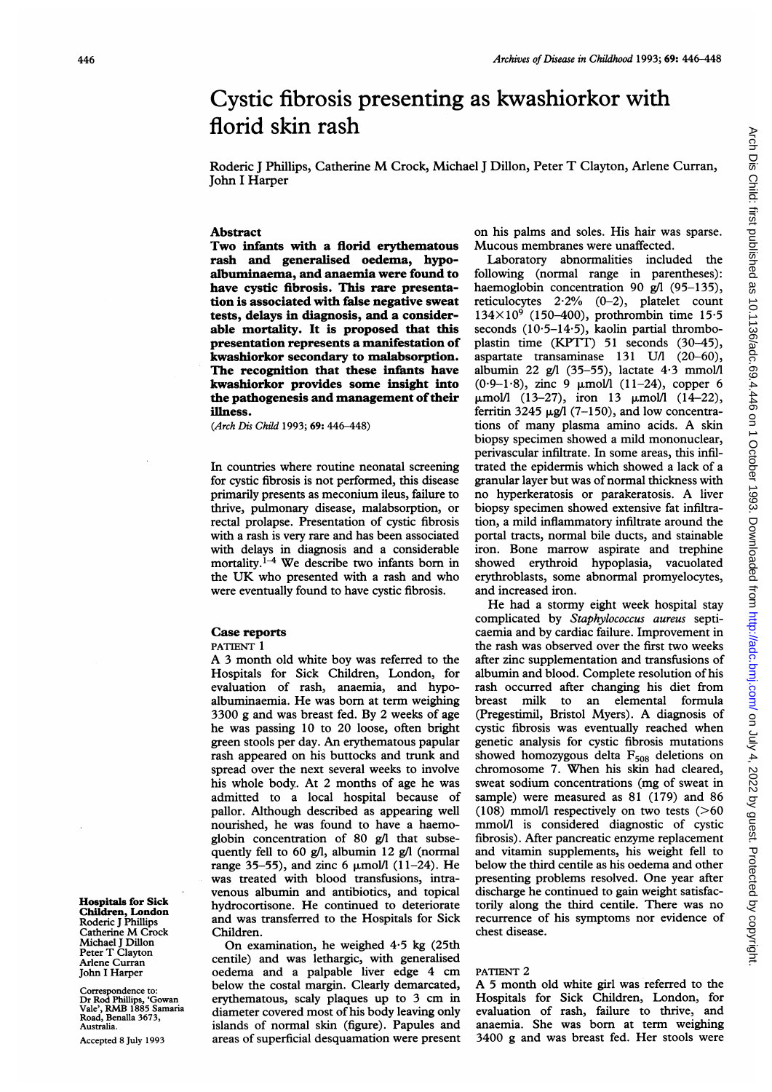# Arch Dis Child: first published as 10.1136/adc.69.4.446 on 1 October 1993. Downloaded from http://adc.bmj.com/ on July 4, 2022 by guest. Protected by copyright Arch Dis Child: first published as 10.1136/adc.69.4.446 on 1 October 1993. Downloaded from <http://adc.bmj.com/> on July 4, 2022 by guest. Protected by copyright.

# Cystic fibrosis presenting as kwashiorkor with florid skin rash

Roderic <sup>J</sup> Phillips, Catherine M Crock, Michael <sup>J</sup> Dillon, Peter T Clayton, Arlene Curran, John <sup>I</sup> Harper

### Abstract

Two infants with a florid erythematous rash and generalised oedema, hypoalbuminaema, and anaemia were found to have cystic fibrosis. This rare presentation is associated with false negative sweat tests, delays in diagnosis, and a considerable mortality. It is proposed that this presentation represents a manifestation of kwashiorkor secondary to malabsorption. The recognition that these infants have kwashiorkor provides some insight into the pathogenesis and management of their illness.

(Arch Dis Child 1993; 69: 446-448)

In countries where routine neonatal screening for cystic fibrosis is not performed, this disease primarily presents as meconium ileus, failure to thrive, pulmonary disease, malabsorption, or rectal prolapse. Presentation of cystic fibrosis with a rash is very rare and has been associated with delays in diagnosis and a considerable mortality.<sup> $i-4$ </sup> We describe two infants born in the UK who presented with <sup>a</sup> rash and who were eventually found to have cystic fibrosis.

### Case reports

### PATIENT<sup>1</sup>

A <sup>3</sup> month old white boy was referred to the Hospitals for Sick Children, London, for evaluation of rash, anaemia, and hypoalbuminaemia. He was born at term weighing 3300 g and was breast fed. By 2 weeks of age he was passing 10 to 20 loose, often bright green stools per day. An erythematous papular rash appeared on his buttocks and trunk and spread over the next several weeks to involve his whole body. At 2 months of age he was admitted to a local hospital because of pallor. Although described as appearing well nourished, he was found to have a haemoglobin concentration of 80 g/l that subsequently fell to 60 g/l, albumin 12 g/l (normal range 35-55), and zinc 6  $\mu$ mol/l (11-24). He was treated with blood transfusions, intravenous albumin and antibiotics, and topical hydrocortisone. He continued to deteriorate and was transferred to the Hospitals for Sick Children.

On examination, he weighed 4-5 kg (25th centile) and was lethargic, with generalised oedema and <sup>a</sup> palpable liver edge 4 cm below the costal margin. Clearly demarcated, erythematous, scaly plaques up to <sup>3</sup> cm in diameter covered most of his body leaving only islands of normal skin (figure). Papules and areas of superficial desquamation were present on his palms and soles. His hair was sparse. Mucous membranes were unaffected.

Laboratory abnormalities included the following (normal range in parentheses): haemoglobin concentration 90 g/l (95-135), reticulocytes  $2.2\%$  (0-2), platelet count  $134\times10^{9}$  (150-400), prothrombin time 15.5 seconds (10.5-14.5), kaolin partial thromboplastin time (KPTT) 51 seconds (30-45), aspartate transaminase 131 U/l (20-60), albumin 22 g/l (35-55), lactate  $4.3 \text{ mmol/l}$ (0.9-1.8), zinc 9  $\mu$ mol/l (11-24), copper 6  $\mu$ mol/l (13-27), iron 13  $\mu$ mol/l (14-22), ferritin 3245  $\mu$ g/l (7-150), and low concentrations of many plasma amino acids. A skin biopsy specimen showed a mild mononuclear, perivascular infiltrate. In some areas, this infiltrated the epidermis which showed a lack of a granular layer but was of normal thickness with no hyperkeratosis or parakeratosis. A liver biopsy specimen showed extensive fat infiltration, a mild inflammatory infiltrate around the portal tracts, normal bile ducts, and stainable iron. Bone marrow aspirate and trephine showed erythroid hypoplasia, vacuolated erythroblasts, some abnormal promyelocytes, and increased iron.

He had <sup>a</sup> stormy eight week hospital stay complicated by Staphylococcus aureus septicaemia and by cardiac failure. Improvement in the rash was observed over the first two weeks after zinc supplementation and transfusions of albumin and blood. Complete resolution of his rash occurred after changing his diet from breast milk to an elemental formula (Pregestimil, Bristol Myers). A diagnosis of cystic fibrosis was eventually reached when genetic analysis for cystic fibrosis mutations showed homozygous delta  $F_{508}$  deletions on chromosome 7. When his skin had cleared, sweat sodium concentrations (mg of sweat in sample) were measured as 81 (179) and 86 (108) mmol/l respectively on two tests  $($ >60 mmolA is considered diagnostic of cystic fibrosis). After pancreatic enzyme replacement and vitamin supplements, his weight fell to below the third centile as his oedema and other presenting problems resolved. One year after discharge he continued to gain weight satisfactorily along the third centile. There was no recurrence of his symptoms nor evidence of chest disease.

## PATIENT 2

A <sup>5</sup> month old white girl was referred to the Hospitals for Sick Children, London, for evaluation of rash, failure to thrive, and anaemia. She was born at term weighing 3400 g and was breast fed. Her stools were

Hospitals for Sick Children, London Roderic J Phillips Catherine M Crock Michael J Dillon Peter T Clayton Arlene Curran John <sup>I</sup> Harper

Correspondence to: Dr Rod Phillips, 'Gowan Vale', RMB <sup>1885</sup> Samaria Road, Benalla 3673, Australia.

Accepted 8 July 1993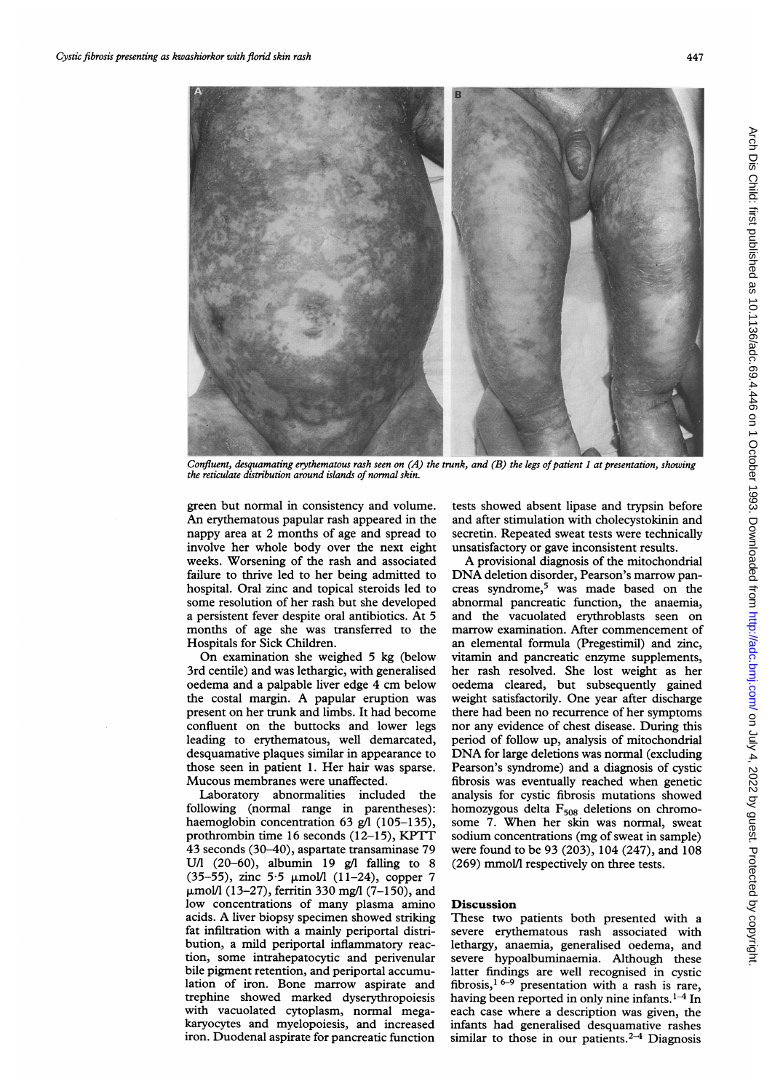

Confluent, desquamating erythematous rash seen on (A) the trunk, and (B) the legs of patient 1 at presentation, showing the reticulate distribution around islands of normal skin.

green but normal in consistency and volume. An erythematous papular rash appeared in the nappy area at 2 months of age and spread to involve her whole body over the next eight weeks. Worsening of the rash and associated failure to thrive led to her being admitted to hospital. Oral zinc and topical steroids led to some resolution of her rash but she developed a persistent fever despite oral antibiotics. At 5 months of age she was transferred to the Hospitals for Sick Children.

On examination she weighed <sup>5</sup> kg (below 3rd centile) and was lethargic, with generalised oedema and <sup>a</sup> palpable liver edge 4 cm below the costal margin. A papular eruption was present on her trunk and limbs. It had become confluent on the buttocks and lower legs leading to erythematous, well demarcated, desquamative plaques similar in appearance to those seen in patient 1. Her hair was sparse. Mucous membranes were unaffected.

Laboratory abnormalities included the following (normal range in parentheses): haemoglobin concentration 63 g/l (105-135), prothrombin time <sup>16</sup> seconds (12-15), KPTT 43 seconds (30-40), aspartate transaminase 79 U/l  $(20-60)$ , albumin 19 g/l falling to 8 (35-55), zinc 5.5  $\mu$ mol/l (11-24), copper 7  $\mu$ mol/l (13–27), ferritin 330 mg/l (7–150), and low concentrations of many plasma amino acids. A liver biopsy specimen showed striking fat infiltration with a mainly periportal distribution, a mild periportal inflammatory reaction, some intrahepatocytic and perivenular bile pigment retention, and periportal accumulation of iron. Bone marrow aspirate and trephine showed marked dyserythropoiesis with vacuolated cytoplasm, normal megakaryocytes and myelopoiesis, and increased iron. Duodenal aspirate for pancreatic function

tests showed absent lipase and trypsin before and after stimulation with cholecystokinin and secretin. Repeated sweat tests were technically unsatisfactory or gave inconsistent results.

A provisional diagnosis of the mitochondrial DNA deletion disorder, Pearson's marrow pancreas syndrome,5 was made based on the abnormal pancreatic function, the anaemia, and the vacuolated erythroblasts seen on marrow examination. After commencement of an elemental formula (Pregestimil) and zinc, vitamin and pancreatic enzyme supplements, her rash resolved. She lost weight as her oedema cleared, but subsequently gained weight satisfactorily. One year after discharge there had been no recurrence of her symptoms nor any evidence of chest disease. During this period of follow up, analysis of mitochondrial DNA for large deletions was normal (excluding Pearson's syndrome) and a diagnosis of cystic fibrosis was eventually reached when genetic analysis for cystic fibrosis mutations showed homozygous delta  $F_{508}$  deletions on chromosome 7. When her skin was normal, sweat sodium concentrations (mg of sweat in sample) were found to be 93 (203), 104 (247), and 108 (269) mmol/l respectively on three tests.

### Discussion

These two patients both presented with a severe erythematous rash associated with lethargy, anaemia, generalised oedema, and severe hypoalbuminaemia. Although these latter findings are well recognised in cystic fibrosis,<sup>16-9</sup> presentation with a rash is rare, having been reported in only nine infants.  $1-4$  In each case where a description was given, the infants had generalised desquamative rashes similar to those in our patients.<sup>2-4</sup> Diagnosis